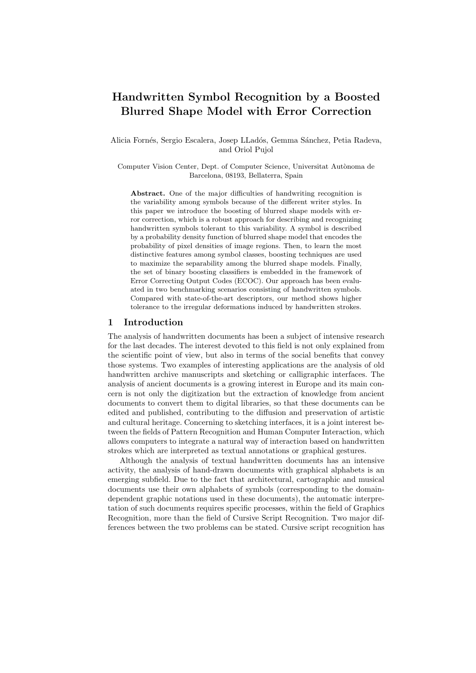# Handwritten Symbol Recognition by a Boosted Blurred Shape Model with Error Correction

Alicia Fornés, Sergio Escalera, Josep LLadós, Gemma Sánchez, Petia Radeva, and Oriol Pujol

Computer Vision Center, Dept. of Computer Science, Universitat Autònoma de Barcelona, 08193, Bellaterra, Spain

Abstract. One of the major difficulties of handwriting recognition is the variability among symbols because of the different writer styles. In this paper we introduce the boosting of blurred shape models with error correction, which is a robust approach for describing and recognizing handwritten symbols tolerant to this variability. A symbol is described by a probability density function of blurred shape model that encodes the probability of pixel densities of image regions. Then, to learn the most distinctive features among symbol classes, boosting techniques are used to maximize the separability among the blurred shape models. Finally, the set of binary boosting classifiers is embedded in the framework of Error Correcting Output Codes (ECOC). Our approach has been evaluated in two benchmarking scenarios consisting of handwritten symbols. Compared with state-of-the-art descriptors, our method shows higher tolerance to the irregular deformations induced by handwritten strokes.

#### 1 Introduction

The analysis of handwritten documents has been a subject of intensive research for the last decades. The interest devoted to this field is not only explained from the scientific point of view, but also in terms of the social benefits that convey those systems. Two examples of interesting applications are the analysis of old handwritten archive manuscripts and sketching or calligraphic interfaces. The analysis of ancient documents is a growing interest in Europe and its main concern is not only the digitization but the extraction of knowledge from ancient documents to convert them to digital libraries, so that these documents can be edited and published, contributing to the diffusion and preservation of artistic and cultural heritage. Concerning to sketching interfaces, it is a joint interest between the fields of Pattern Recognition and Human Computer Interaction, which allows computers to integrate a natural way of interaction based on handwritten strokes which are interpreted as textual annotations or graphical gestures.

Although the analysis of textual handwritten documents has an intensive activity, the analysis of hand-drawn documents with graphical alphabets is an emerging subfield. Due to the fact that architectural, cartographic and musical documents use their own alphabets of symbols (corresponding to the domaindependent graphic notations used in these documents), the automatic interpretation of such documents requires specific processes, within the field of Graphics Recognition, more than the field of Cursive Script Recognition. Two major differences between the two problems can be stated. Cursive script recognition has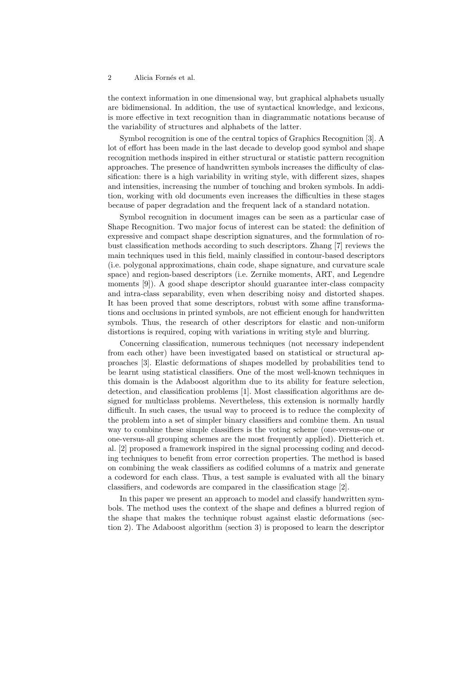#### 2 Alicia Fornés et al.

the context information in one dimensional way, but graphical alphabets usually are bidimensional. In addition, the use of syntactical knowledge, and lexicons, is more effective in text recognition than in diagrammatic notations because of the variability of structures and alphabets of the latter.

Symbol recognition is one of the central topics of Graphics Recognition [3]. A lot of effort has been made in the last decade to develop good symbol and shape recognition methods inspired in either structural or statistic pattern recognition approaches. The presence of handwritten symbols increases the difficulty of classification: there is a high variability in writing style, with different sizes, shapes and intensities, increasing the number of touching and broken symbols. In addition, working with old documents even increases the difficulties in these stages because of paper degradation and the frequent lack of a standard notation.

Symbol recognition in document images can be seen as a particular case of Shape Recognition. Two major focus of interest can be stated: the definition of expressive and compact shape description signatures, and the formulation of robust classification methods according to such descriptors. Zhang [7] reviews the main techniques used in this field, mainly classified in contour-based descriptors (i.e. polygonal approximations, chain code, shape signature, and curvature scale space) and region-based descriptors (i.e. Zernike moments, ART, and Legendre moments [9]). A good shape descriptor should guarantee inter-class compacity and intra-class separability, even when describing noisy and distorted shapes. It has been proved that some descriptors, robust with some affine transformations and occlusions in printed symbols, are not efficient enough for handwritten symbols. Thus, the research of other descriptors for elastic and non-uniform distortions is required, coping with variations in writing style and blurring.

Concerning classification, numerous techniques (not necessary independent from each other) have been investigated based on statistical or structural approaches [3]. Elastic deformations of shapes modelled by probabilities tend to be learnt using statistical classifiers. One of the most well-known techniques in this domain is the Adaboost algorithm due to its ability for feature selection, detection, and classification problems [1]. Most classification algorithms are designed for multiclass problems. Nevertheless, this extension is normally hardly difficult. In such cases, the usual way to proceed is to reduce the complexity of the problem into a set of simpler binary classifiers and combine them. An usual way to combine these simple classifiers is the voting scheme (one-versus-one or one-versus-all grouping schemes are the most frequently applied). Dietterich et. al. [2] proposed a framework inspired in the signal processing coding and decoding techniques to benefit from error correction properties. The method is based on combining the weak classifiers as codified columns of a matrix and generate a codeword for each class. Thus, a test sample is evaluated with all the binary classifiers, and codewords are compared in the classification stage [2].

In this paper we present an approach to model and classify handwritten symbols. The method uses the context of the shape and defines a blurred region of the shape that makes the technique robust against elastic deformations (section 2). The Adaboost algorithm (section 3) is proposed to learn the descriptor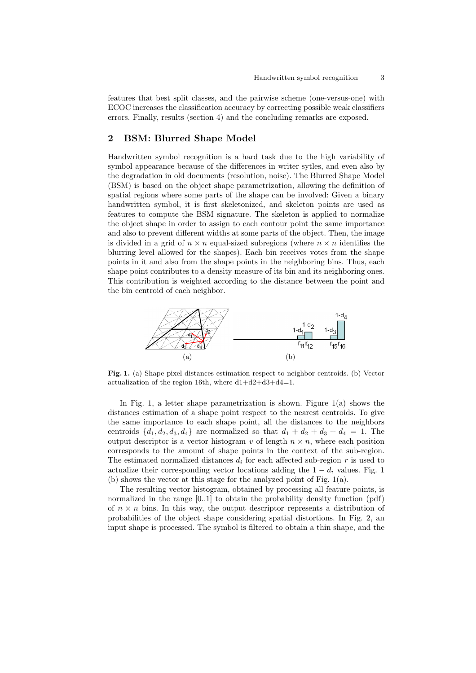features that best split classes, and the pairwise scheme (one-versus-one) with ECOC increases the classification accuracy by correcting possible weak classifiers errors. Finally, results (section 4) and the concluding remarks are exposed.

## 2 BSM: Blurred Shape Model

Handwritten symbol recognition is a hard task due to the high variability of symbol appearance because of the differences in writer sytles, and even also by the degradation in old documents (resolution, noise). The Blurred Shape Model (BSM) is based on the object shape parametrization, allowing the definition of spatial regions where some parts of the shape can be involved: Given a binary handwritten symbol, it is first skeletonized, and skeleton points are used as features to compute the BSM signature. The skeleton is applied to normalize the object shape in order to assign to each contour point the same importance and also to prevent different widths at some parts of the object. Then, the image is divided in a grid of  $n \times n$  equal-sized subregions (where  $n \times n$  identifies the blurring level allowed for the shapes). Each bin receives votes from the shape points in it and also from the shape points in the neighboring bins. Thus, each shape point contributes to a density measure of its bin and its neighboring ones. This contribution is weighted according to the distance between the point and the bin centroid of each neighbor.



Fig. 1. (a) Shape pixel distances estimation respect to neighbor centroids. (b) Vector actualization of the region 16th, where  $d1+d2+d3+d4=1$ .

In Fig. 1, a letter shape parametrization is shown. Figure  $1(a)$  shows the distances estimation of a shape point respect to the nearest centroids. To give the same importance to each shape point, all the distances to the neighbors centroids  $\{d_1, d_2, d_3, d_4\}$  are normalized so that  $d_1 + d_2 + d_3 + d_4 = 1$ . The output descriptor is a vector histogram v of length  $n \times n$ , where each position corresponds to the amount of shape points in the context of the sub-region. The estimated normalized distances  $d_i$  for each affected sub-region r is used to actualize their corresponding vector locations adding the  $1 - d_i$  values. Fig. 1 (b) shows the vector at this stage for the analyzed point of Fig. 1(a).

The resulting vector histogram, obtained by processing all feature points, is normalized in the range  $[0..1]$  to obtain the probability density function  $(pdf)$ of  $n \times n$  bins. In this way, the output descriptor represents a distribution of probabilities of the object shape considering spatial distortions. In Fig. 2, an input shape is processed. The symbol is filtered to obtain a thin shape, and the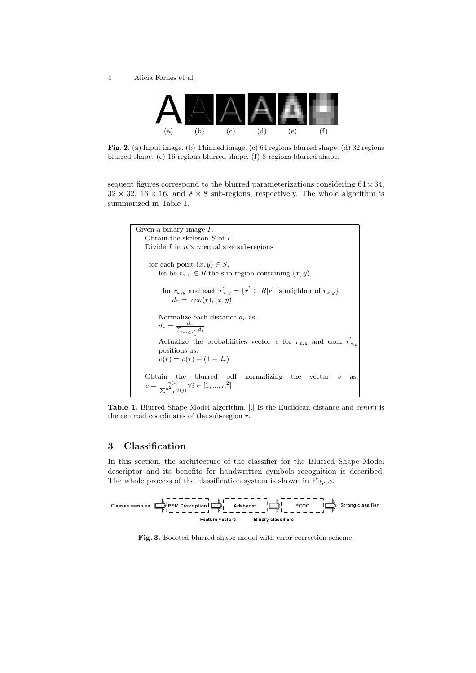

Fig. 2. (a) Input image. (b) Thinned image. (c) 64 regions blurred shape. (d) 32 regions blurred shape. (e) 16 regions blurred shape. (f) 8 regions blurred shape.

sequent figures correspond to the blurred parameterizations considering  $64 \times 64$ ,  $32 \times 32$ ,  $16 \times 16$ , and  $8 \times 8$  sub-regions, respectively. The whole algorithm is summarized in Table 1.

Given a binary image  $I$ , Obtain the skeleton  $S$  of  $I$ Divide I in  $n \times n$  equal size sub-regions for each point  $(x, y) \in S$ , let be  $r_{x,y} \in R$  the sub-region containing  $(x, y)$ , for  $r_{x,y}$  and each  $r'_{x,y} = \{r' \subset R|r'$  is neighbor of  $r_{x,y}\}$  $d_r = |cen(r), (x, y)|$ Normalize each distance  $d_r$  as:  $d_r = \frac{d_r}{\sum_{\forall i \in r'_i} d_i}$ Actualize the probabilities vector v for  $r_{x,y}$  and each  $r'_{x,y}$ positions as:  $v(r) = v(r) + (1 - d_r)$ Obtain the blurred pdf normalizing the vector  $v$  as:  $v = \frac{v(i)}{\sum_{j=1}^{n^2} v(j)} \forall i \in [1, ..., n^2]$ 

**Table 1.** Blurred Shape Model algorithm.  $|.|$  Is the Euclidean distance and  $cen(r)$  is the centroid coordinates of the sub-region r.

## 3 Classification

In this section, the architecture of the classifier for the Blurred Shape Model descriptor and its benefits for handwritten symbols recognition is described. The whole process of the classification system is shown in Fig. 3.

Fig. 3. Boosted blurred shape model with error correction scheme.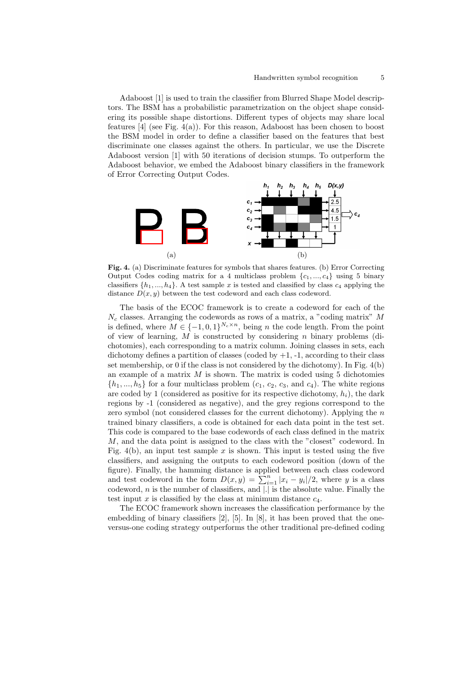Adaboost [1] is used to train the classifier from Blurred Shape Model descriptors. The BSM has a probabilistic parametrization on the object shape considering its possible shape distortions. Different types of objects may share local features [4] (see Fig. 4(a)). For this reason, Adaboost has been chosen to boost the BSM model in order to define a classifier based on the features that best discriminate one classes against the others. In particular, we use the Discrete Adaboost version [1] with 50 iterations of decision stumps. To outperform the Adaboost behavior, we embed the Adaboost binary classifiers in the framework of Error Correcting Output Codes.



Fig. 4. (a) Discriminate features for symbols that shares features. (b) Error Correcting Output Codes coding matrix for a 4 multiclass problem  $\{c_1, ..., c_4\}$  using 5 binary classifiers  $\{h_1, ..., h_4\}$ . A test sample x is tested and classified by class  $c_4$  applying the distance  $D(x, y)$  between the test codeword and each class codeword.

The basis of the ECOC framework is to create a codeword for each of the  $N_c$  classes. Arranging the codewords as rows of a matrix, a "coding matrix" M is defined, where  $M \in \{-1,0,1\}^{N_c \times n}$ , being *n* the code length. From the point of view of learning,  $M$  is constructed by considering  $n$  binary problems (dichotomies), each corresponding to a matrix column. Joining classes in sets, each dichotomy defines a partition of classes (coded by  $+1$ ,  $-1$ , according to their class set membership, or 0 if the class is not considered by the dichotomy). In Fig.  $4(b)$ an example of a matrix  $M$  is shown. The matrix is coded using 5 dichotomies  $\{h_1, ..., h_5\}$  for a four multiclass problem  $(c_1, c_2, c_3, \text{ and } c_4)$ . The white regions are coded by 1 (considered as positive for its respective dichotomy,  $h_i$ ), the dark regions by -1 (considered as negative), and the grey regions correspond to the zero symbol (not considered classes for the current dichotomy). Applying the  $n$ trained binary classifiers, a code is obtained for each data point in the test set. This code is compared to the base codewords of each class defined in the matrix M, and the data point is assigned to the class with the "closest" codeword. In Fig.  $4(b)$ , an input test sample x is shown. This input is tested using the five classifiers, and assigning the outputs to each codeword position (down of the figure). Finally, the hamming distance is applied between each class codeword ngure). Finany, the namining distance is applied between each class codeword and test codeword in the form  $D(x, y) = \sum_{i=1}^{n} |x_i - y_i|/2$ , where y is a class codeword,  $n$  is the number of classifiers, and  $|.|$  is the absolute value. Finally the test input  $x$  is classified by the class at minimum distance  $c_4$ .

The ECOC framework shown increases the classification performance by the embedding of binary classifiers [2], [5]. In [8], it has been proved that the oneversus-one coding strategy outperforms the other traditional pre-defined coding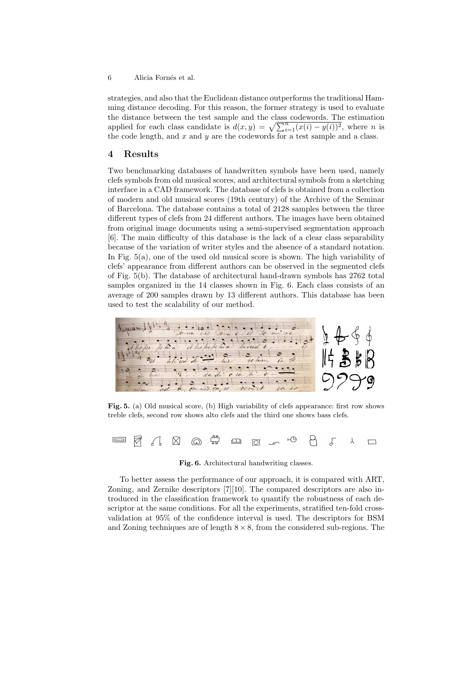### 6 Alicia Fornés et al.

strategies, and also that the Euclidean distance outperforms the traditional Hamming distance decoding. For this reason, the former strategy is used to evaluate the distance between the test sample and the class codewords. The estimation the distance between the test sample and the class codewords. The estimation applied for each class candidate is  $d(x, y) = \sqrt{\sum_{i=1}^{n} (x(i) - y(i))^2}$ , where *n* is the code length, and  $x$  and  $y$  are the codewords for a test sample and a class.

### 4 Results

Two benchmarking databases of handwritten symbols have been used, namely clefs symbols from old musical scores, and architectural symbols from a sketching interface in a CAD framework. The database of clefs is obtained from a collection of modern and old musical scores (19th century) of the Archive of the Seminar of Barcelona. The database contains a total of 2128 samples between the three different types of clefs from 24 different authors. The images have been obtained from original image documents using a semi-supervised segmentation approach [6]. The main difficulty of this database is the lack of a clear class separability because of the variation of writer styles and the absence of a standard notation. In Fig. 5(a), one of the used old musical score is shown. The high variability of clefs' appearance from different authors can be observed in the segmented clefs of Fig. 5(b). The database of architectural hand-drawn symbols has 2762 total samples organized in the 14 classes shown in Fig. 6. Each class consists of an average of 200 samples drawn by 13 different authors. This database has been used to test the scalability of our method.



Fig. 5. (a) Old musical score, (b) High variability of clefs appearance: first row shows treble clefs, second row shows alto clefs and the third one shows bass clefs.



Fig. 6. Architectural handwriting classes.

To better assess the performance of our approach, it is compared with ART, Zoning, and Zernike descriptors [7][10]. The compared descriptors are also introduced in the classification framework to quantify the robustness of each descriptor at the same conditions. For all the experiments, stratified ten-fold crossvalidation at 95% of the confidence interval is used. The descriptors for BSM and Zoning techniques are of length  $8 \times 8$ , from the considered sub-regions. The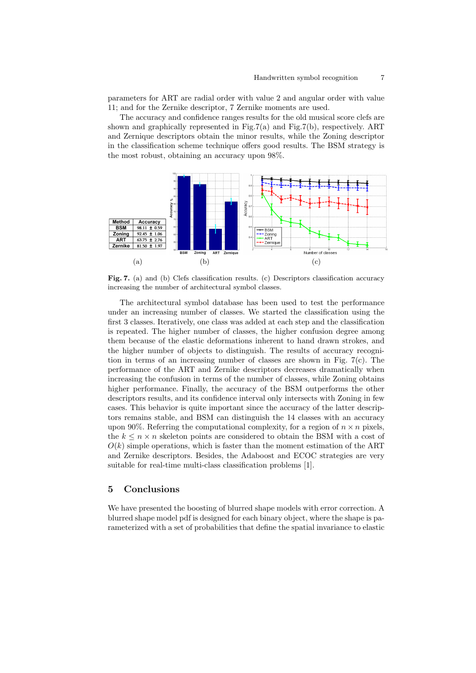parameters for ART are radial order with value 2 and angular order with value 11; and for the Zernike descriptor, 7 Zernike moments are used.

The accuracy and confidence ranges results for the old musical score clefs are shown and graphically represented in Fig.7(a) and Fig.7(b), respectively. ART and Zernique descriptors obtain the minor results, while the Zoning descriptor in the classification scheme technique offers good results. The BSM strategy is the most robust, obtaining an accuracy upon 98%.



Fig. 7. (a) and (b) Clefs classification results. (c) Descriptors classification accuracy increasing the number of architectural symbol classes.

The architectural symbol database has been used to test the performance under an increasing number of classes. We started the classification using the first 3 classes. Iteratively, one class was added at each step and the classification is repeated. The higher number of classes, the higher confusion degree among them because of the elastic deformations inherent to hand drawn strokes, and the higher number of objects to distinguish. The results of accuracy recognition in terms of an increasing number of classes are shown in Fig. 7(c). The performance of the ART and Zernike descriptors decreases dramatically when increasing the confusion in terms of the number of classes, while Zoning obtains higher performance. Finally, the accuracy of the BSM outperforms the other descriptors results, and its confidence interval only intersects with Zoning in few cases. This behavior is quite important since the accuracy of the latter descriptors remains stable, and BSM can distinguish the 14 classes with an accuracy upon 90%. Referring the computational complexity, for a region of  $n \times n$  pixels, the  $k \leq n \times n$  skeleton points are considered to obtain the BSM with a cost of  $O(k)$  simple operations, which is faster than the moment estimation of the ART and Zernike descriptors. Besides, the Adaboost and ECOC strategies are very suitable for real-time multi-class classification problems [1].

# 5 Conclusions

We have presented the boosting of blurred shape models with error correction. A blurred shape model pdf is designed for each binary object, where the shape is parameterized with a set of probabilities that define the spatial invariance to elastic